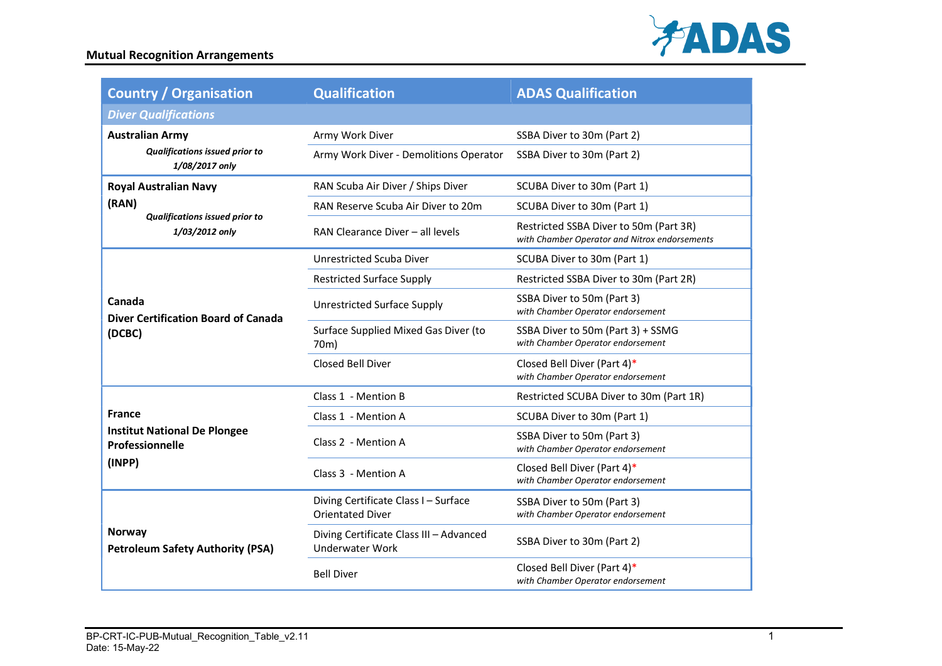

| <b>Country / Organisation</b>                                                                    | <b>Qualification</b>                                              | <b>ADAS Qualification</b>                                                               |
|--------------------------------------------------------------------------------------------------|-------------------------------------------------------------------|-----------------------------------------------------------------------------------------|
| <b>Diver Qualifications</b>                                                                      |                                                                   |                                                                                         |
| <b>Australian Army</b><br><b>Qualifications issued prior to</b><br>1/08/2017 only                | Army Work Diver                                                   | SSBA Diver to 30m (Part 2)                                                              |
|                                                                                                  | Army Work Diver - Demolitions Operator                            | SSBA Diver to 30m (Part 2)                                                              |
| <b>Royal Australian Navy</b><br>(RAN)<br><b>Qualifications issued prior to</b><br>1/03/2012 only | RAN Scuba Air Diver / Ships Diver                                 | SCUBA Diver to 30m (Part 1)                                                             |
|                                                                                                  | RAN Reserve Scuba Air Diver to 20m                                | SCUBA Diver to 30m (Part 1)                                                             |
|                                                                                                  | RAN Clearance Diver - all levels                                  | Restricted SSBA Diver to 50m (Part 3R)<br>with Chamber Operator and Nitrox endorsements |
| Canada<br><b>Diver Certification Board of Canada</b><br>(DCBC)                                   | Unrestricted Scuba Diver                                          | SCUBA Diver to 30m (Part 1)                                                             |
|                                                                                                  | <b>Restricted Surface Supply</b>                                  | Restricted SSBA Diver to 30m (Part 2R)                                                  |
|                                                                                                  | <b>Unrestricted Surface Supply</b>                                | SSBA Diver to 50m (Part 3)<br>with Chamber Operator endorsement                         |
|                                                                                                  | Surface Supplied Mixed Gas Diver (to<br>70m)                      | SSBA Diver to 50m (Part 3) + SSMG<br>with Chamber Operator endorsement                  |
|                                                                                                  | Closed Bell Diver                                                 | Closed Bell Diver (Part 4)*<br>with Chamber Operator endorsement                        |
|                                                                                                  | Class 1 - Mention B                                               | Restricted SCUBA Diver to 30m (Part 1R)                                                 |
| <b>France</b><br><b>Institut National De Plongee</b><br>Professionnelle<br>(INPP)                | Class 1 - Mention A                                               | SCUBA Diver to 30m (Part 1)                                                             |
|                                                                                                  | Class 2 - Mention A                                               | SSBA Diver to 50m (Part 3)<br>with Chamber Operator endorsement                         |
|                                                                                                  | Class 3 - Mention A                                               | Closed Bell Diver (Part 4)*<br>with Chamber Operator endorsement                        |
| Norway<br><b>Petroleum Safety Authority (PSA)</b>                                                | Diving Certificate Class I - Surface<br><b>Orientated Diver</b>   | SSBA Diver to 50m (Part 3)<br>with Chamber Operator endorsement                         |
|                                                                                                  | Diving Certificate Class III - Advanced<br><b>Underwater Work</b> | SSBA Diver to 30m (Part 2)                                                              |
|                                                                                                  | <b>Bell Diver</b>                                                 | Closed Bell Diver (Part 4)*<br>with Chamber Operator endorsement                        |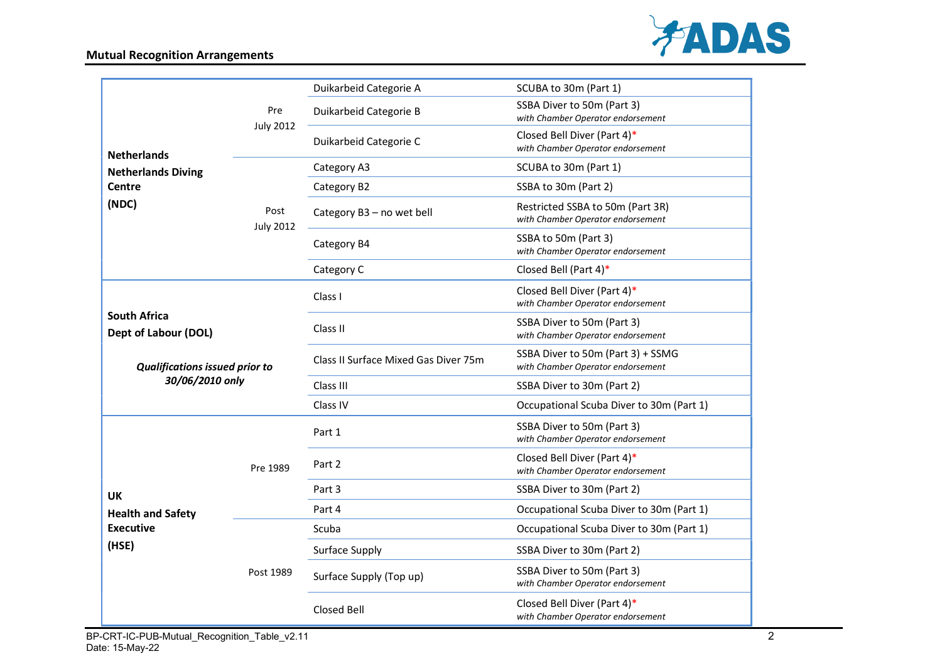## Mutual Recognition Arrangements



| <b>Netherlands</b><br><b>Netherlands Diving</b><br><b>Centre</b><br>(NDC)                               |                          | Duikarbeid Categorie A                   | SCUBA to 30m (Part 1)                                                  |
|---------------------------------------------------------------------------------------------------------|--------------------------|------------------------------------------|------------------------------------------------------------------------|
|                                                                                                         | Pre                      | Duikarbeid Categorie B                   | SSBA Diver to 50m (Part 3)<br>with Chamber Operator endorsement        |
|                                                                                                         | <b>July 2012</b>         | Duikarbeid Categorie C                   | Closed Bell Diver (Part 4)*<br>with Chamber Operator endorsement       |
|                                                                                                         | Post<br><b>July 2012</b> | Category A3                              | SCUBA to 30m (Part 1)                                                  |
|                                                                                                         |                          | Category B2                              | SSBA to 30m (Part 2)                                                   |
|                                                                                                         |                          | Category B3 - no wet bell                | Restricted SSBA to 50m (Part 3R)<br>with Chamber Operator endorsement  |
|                                                                                                         |                          | Category B4                              | SSBA to 50m (Part 3)<br>with Chamber Operator endorsement              |
|                                                                                                         |                          | Category C                               | Closed Bell (Part 4)*                                                  |
| <b>South Africa</b><br>Dept of Labour (DOL)<br><b>Qualifications issued prior to</b><br>30/06/2010 only |                          | Class I                                  | Closed Bell Diver (Part 4)*<br>with Chamber Operator endorsement       |
|                                                                                                         |                          | Class II                                 | SSBA Diver to 50m (Part 3)<br>with Chamber Operator endorsement        |
|                                                                                                         |                          | Class II Surface Mixed Gas Diver 75m     | SSBA Diver to 50m (Part 3) + SSMG<br>with Chamber Operator endorsement |
|                                                                                                         |                          | Class III                                | SSBA Diver to 30m (Part 2)                                             |
|                                                                                                         |                          | Class IV                                 | Occupational Scuba Diver to 30m (Part 1)                               |
| Pre 1989<br><b>UK</b><br><b>Health and Safety</b><br><b>Executive</b><br>(HSE)<br>Post 1989             |                          | Part 1                                   | SSBA Diver to 50m (Part 3)<br>with Chamber Operator endorsement        |
|                                                                                                         |                          | Part 2                                   | Closed Bell Diver (Part 4)*<br>with Chamber Operator endorsement       |
|                                                                                                         | Part 3                   | SSBA Diver to 30m (Part 2)               |                                                                        |
|                                                                                                         | Part 4                   | Occupational Scuba Diver to 30m (Part 1) |                                                                        |
|                                                                                                         |                          | Scuba                                    | Occupational Scuba Diver to 30m (Part 1)                               |
|                                                                                                         |                          | Surface Supply                           | SSBA Diver to 30m (Part 2)                                             |
|                                                                                                         |                          | Surface Supply (Top up)                  | SSBA Diver to 50m (Part 3)<br>with Chamber Operator endorsement        |
|                                                                                                         |                          | Closed Bell                              | Closed Bell Diver (Part 4)*<br>with Chamber Operator endorsement       |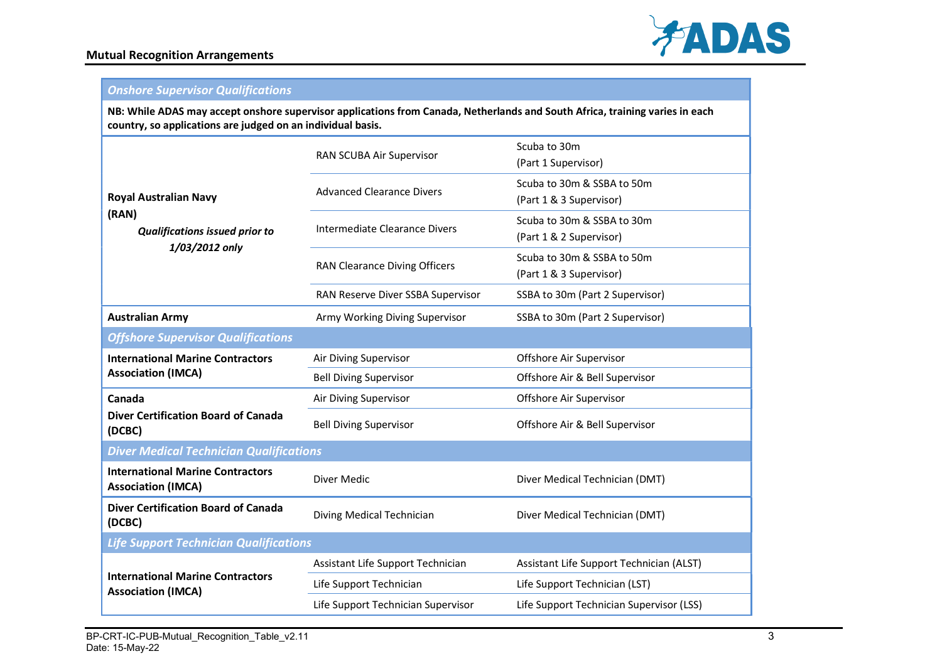

## Onshore Supervisor Qualifications

NB: While ADAS may accept onshore supervisor applications from Canada, Netherlands and South Africa, training varies in each country, so applications are judged on an individual basis.

| <b>Royal Australian Navy</b><br>(RAN)<br><b>Qualifications issued prior to</b><br>1/03/2012 only | RAN SCUBA Air Supervisor             | Scuba to 30m<br>(Part 1 Supervisor)                   |  |  |
|--------------------------------------------------------------------------------------------------|--------------------------------------|-------------------------------------------------------|--|--|
|                                                                                                  | <b>Advanced Clearance Divers</b>     | Scuba to 30m & SSBA to 50m<br>(Part 1 & 3 Supervisor) |  |  |
|                                                                                                  | Intermediate Clearance Divers        | Scuba to 30m & SSBA to 30m<br>(Part 1 & 2 Supervisor) |  |  |
|                                                                                                  | <b>RAN Clearance Diving Officers</b> | Scuba to 30m & SSBA to 50m<br>(Part 1 & 3 Supervisor) |  |  |
|                                                                                                  | RAN Reserve Diver SSBA Supervisor    | SSBA to 30m (Part 2 Supervisor)                       |  |  |
| <b>Australian Army</b>                                                                           | Army Working Diving Supervisor       | SSBA to 30m (Part 2 Supervisor)                       |  |  |
| <b>Offshore Supervisor Qualifications</b>                                                        |                                      |                                                       |  |  |
| <b>International Marine Contractors</b><br><b>Association (IMCA)</b>                             | Air Diving Supervisor                | Offshore Air Supervisor                               |  |  |
|                                                                                                  | <b>Bell Diving Supervisor</b>        | Offshore Air & Bell Supervisor                        |  |  |
| Canada<br><b>Diver Certification Board of Canada</b><br>(DCBC)                                   | Air Diving Supervisor                | Offshore Air Supervisor                               |  |  |
|                                                                                                  | <b>Bell Diving Supervisor</b>        | Offshore Air & Bell Supervisor                        |  |  |
| <b>Diver Medical Technician Qualifications</b>                                                   |                                      |                                                       |  |  |
| <b>International Marine Contractors</b><br><b>Association (IMCA)</b>                             | Diver Medic                          | Diver Medical Technician (DMT)                        |  |  |
| <b>Diver Certification Board of Canada</b><br>(DCBC)                                             | Diving Medical Technician            | Diver Medical Technician (DMT)                        |  |  |
| <b>Life Support Technician Qualifications</b>                                                    |                                      |                                                       |  |  |
| <b>International Marine Contractors</b><br><b>Association (IMCA)</b>                             | Assistant Life Support Technician    | Assistant Life Support Technician (ALST)              |  |  |
|                                                                                                  | Life Support Technician              | Life Support Technician (LST)                         |  |  |
|                                                                                                  | Life Support Technician Supervisor   | Life Support Technician Supervisor (LSS)              |  |  |